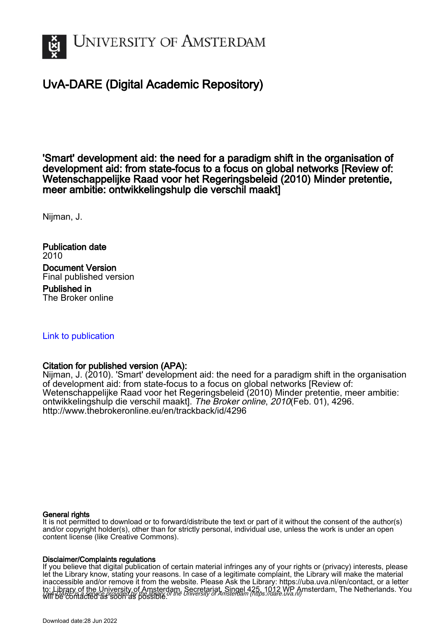

# UvA-DARE (Digital Academic Repository)

'Smart' development aid: the need for a paradigm shift in the organisation of development aid: from state-focus to a focus on global networks [Review of: Wetenschappelijke Raad voor het Regeringsbeleid (2010) Minder pretentie, meer ambitie: ontwikkelingshulp die verschil maakt]

Nijman, J.

Publication date 2010 Document Version Final published version

Published in The Broker online

# [Link to publication](https://dare.uva.nl/personal/pure/en/publications/smart-development-aid-the-need-for-a-paradigm-shift-in-the-organisation-of-development-aid-from-statefocus-to-a-focus-on-global-networks-review-of-wetenschappelijke-raad-voor-het-regeringsbeleid-2010-minder-pretentie-meer-ambitie-ontwikkelingshulp-die-verschil-maakt(b03b58ca-bfd7-41d9-9287-79a32f1396f3).html)

## Citation for published version (APA):

Nijman, J. (2010). 'Smart' development aid: the need for a paradigm shift in the organisation of development aid: from state-focus to a focus on global networks [Review of: Wetenschappelijke Raad voor het Regeringsbeleid (2010) Minder pretentie, meer ambitie: ontwikkelingshulp die verschil maakt]. The Broker online, 2010(Feb. 01), 4296. <http://www.thebrokeronline.eu/en/trackback/id/4296>

### General rights

It is not permitted to download or to forward/distribute the text or part of it without the consent of the author(s) and/or copyright holder(s), other than for strictly personal, individual use, unless the work is under an open content license (like Creative Commons).

#### Disclaimer/Complaints regulations

UvA-DARE is a service provided by the library of the University of Amsterdam (http*s*://dare.uva.nl) If you believe that digital publication of certain material infringes any of your rights or (privacy) interests, please let the Library know, stating your reasons. In case of a legitimate complaint, the Library will make the material inaccessible and/or remove it from the website. Please Ask the Library: https://uba.uva.nl/en/contact, or a letter to: Library of the University of Amsterdam, Secretariat, Singel 425, 1012 WP Amsterdam, The Netherlands. You will be contacted as soon as possible.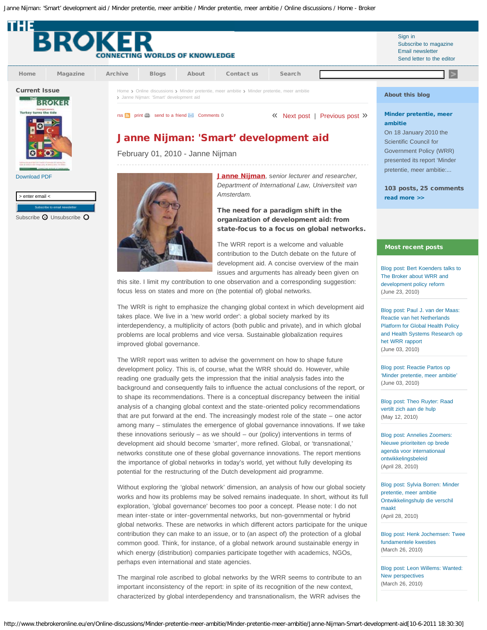<span id="page-1-0"></span>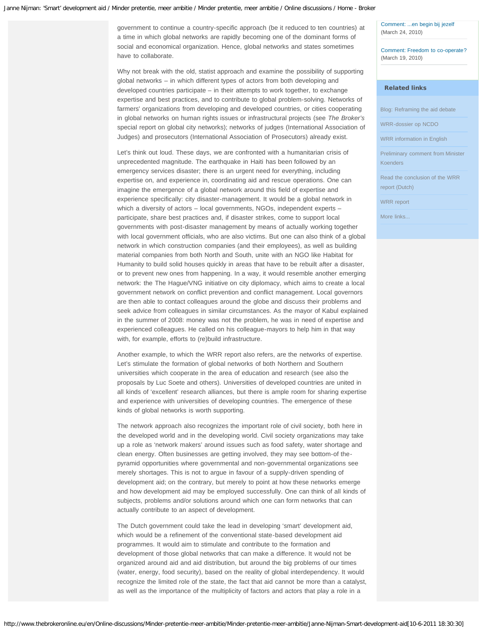government to continue a country-specific approach (be it reduced to ten countries) at a time in which global networks are rapidly becoming one of the dominant forms of social and economical organization. Hence, global networks and states sometimes have to collaborate.

Why not break with the old, statist approach and examine the possibility of supporting global networks – in which different types of actors from both developing and developed countries participate – in their attempts to work together, to exchange expertise and best practices, and to contribute to global problem-solving. Networks of farmers' organizations from developing and developed countries, or cities cooperating in global networks on human rights issues or infrastructural projects (see *The Broker's* special report on global city networks); networks of judges (International Association of Judges) and prosecutors (International Association of Prosecutors) already exist.

Let's think out loud. These days, we are confronted with a humanitarian crisis of unprecedented magnitude. The earthquake in Haiti has been followed by an emergency services disaster; there is an urgent need for everything, including expertise on, and experience in, coordinating aid and rescue operations. One can imagine the emergence of a global network around this field of expertise and experience specifically: city disaster-management. It would be a global network in which a diversity of actors – local governments, NGOs, independent experts – participate, share best practices and, if disaster strikes, come to support local governments with post-disaster management by means of actually working together with local government officials, who are also victims. But one can also think of a global network in which construction companies (and their employees), as well as building material companies from both North and South, unite with an NGO like Habitat for Humanity to build solid houses quickly in areas that have to be rebuilt after a disaster, or to prevent new ones from happening. In a way, it would resemble another emerging network: the The Hague/VNG initiative on city diplomacy, which aims to create a local government network on conflict prevention and conflict management. Local governors are then able to contact colleagues around the globe and discuss their problems and seek advice from colleagues in similar circumstances. As the mayor of Kabul explained in the summer of 2008: money was not the problem, he was in need of expertise and experienced colleagues. He called on his colleague-mayors to help him in that way with, for example, efforts to (re)build infrastructure.

Another example, to which the WRR report also refers, are the networks of expertise. Let's stimulate the formation of global networks of both Northern and Southern universities which cooperate in the area of education and research (see also the proposals by Luc Soete and others). Universities of developed countries are united in all kinds of 'excellent' research alliances, but there is ample room for sharing expertise and experience with universities of developing countries. The emergence of these kinds of global networks is worth supporting.

The network approach also recognizes the important role of civil society, both here in the developed world and in the developing world. Civil society organizations may take up a role as 'network makers' around issues such as food safety, water shortage and clean energy. Often businesses are getting involved, they may see bottom-of thepyramid opportunities where governmental and non-governmental organizations see merely shortages. This is not to argue in favour of a supply-driven spending of development aid; on the contrary, but merely to point at how these networks emerge and how development aid may be employed successfully. One can think of all kinds of subjects, problems and/or solutions around which one can form networks that can actually contribute to an aspect of development.

The Dutch government could take the lead in developing 'smart' development aid, which would be a refinement of the conventional state-based development aid programmes. It would aim to stimulate and contribute to the formation and development of those global networks that can make a difference. It would not be organized around aid and aid distribution, but around the big problems of our times (water, energy, food security), based on the reality of global interdependency. It would recognize the limited role of the state, the fact that aid cannot be more than a catalyst, as well as the importance of the multiplicity of factors and actors that play a role in a

[Comment: ...en begin bij jezelf](http://www.thebrokeronline.eu/en/Online-discussions/Minder-pretentie-meer-ambitie/Minder-pretentie-meer-ambitie/Frits-van-der-Wal-Focus-op-landenstrategieen-slim-samenwerken-en-knelpuntenaanpak#4825) (March 24, 2010)

[Comment: Freedom to co-operate?](http://www.thebrokeronline.eu/en/Online-discussions/Minder-pretentie-meer-ambitie/Minder-pretentie-meer-ambitie/Laurent-Umans-aid-and-cooperation#4820) (March 19, 2010)

#### Related links

[Blog: Reframing the aid debate](http://diisaidblog.wordpress.com/)

[WRR-dossier op NCDO](http://www.ncdo.nl/Internationale_samenwerking/Dossier_WRR_rapport)

[WRR information in English](http://www.wrr.nl/english/content.jsp?objectid=5190)

[Preliminary comment from Minister](http://www.minbuza.nl/nl/Actueel/Nieuwsberichten/2010/01/Koenders_zet_modernisering_ontwikkelingssamenwerking_voort) [Koenders](http://www.minbuza.nl/nl/Actueel/Nieuwsberichten/2010/01/Koenders_zet_modernisering_ontwikkelingssamenwerking_voort)

[Read the conclusion of the WRR](http://www.wrr.nl/dsc?c=getobject&s=obj&objectid=5215&!dsname=default&isapidir=/gvisapi/) [report \(Dutch\)](http://www.wrr.nl/dsc?c=getobject&s=obj&objectid=5215&!dsname=default&isapidir=/gvisapi/)

[WRR report](http://www.wrr.nl/dsc?c=getobject&s=obj&objectid=5212&!dsname=default&isapidir=/gvisapi/)

[More links...](http://www.thebrokeronline.eu/en/Online-discussions/Minder-pretentie-meer-ambitie/Links)